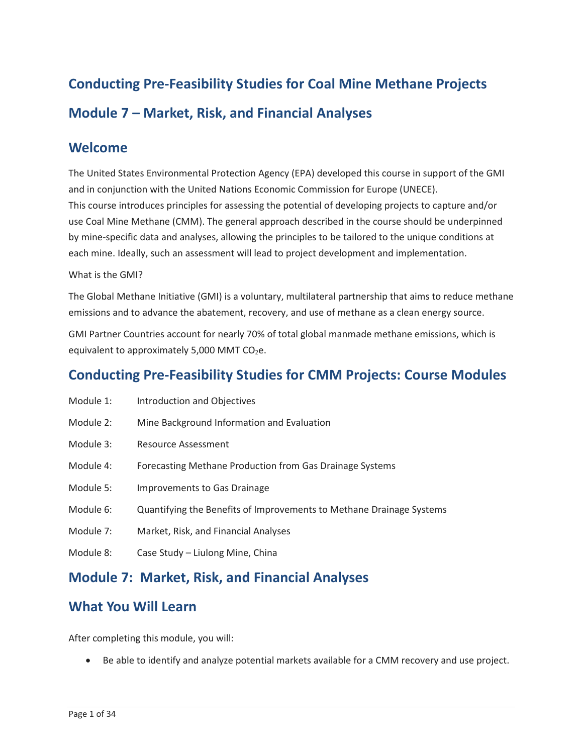# **Conducting Pre-Feasibility Studies for Coal Mine Methane Projects Module 7 – Market, Risk, and Financial Analyses**

#### **Welcome**

 The United States Environmental Protection Agency (EPA) developed this course in support of the GMI and in conjunction with the United Nations Economic Commission for Europe (UNECE). This course introduces principles for assessing the potential of developing projects to capture and/or use Coal Mine Methane (CMM). The general approach described in the course should be underpinned by mine-specific data and analyses, allowing the principles to be tailored to the unique conditions at each mine. Ideally, such an assessment will lead to project development and implementation.

#### What is the GMI?

 The Global Methane Initiative (GMI) is a voluntary, multilateral partnership that aims to reduce methane emissions and to advance the abatement, recovery, and use of methane as a clean energy source.

equivalent to approximately 5,000 MMT CO $_2$ e. GMI Partner Countries account for nearly 70% of total global manmade methane emissions, which is

### **Conducting Pre-Feasibility Studies for CMM Projects: Course Modules**

- Module 1: Introduction and Objectives
- Module 2: Mine Background Information and Evaluation
- Module 3: Resource Assessment
- Module 4: Forecasting Methane Production from Gas Drainage Systems
- Module 5: Improvements to Gas Drainage
- Module 6: Quantifying the Benefits of Improvements to Methane Drainage Systems
- Module 7: Market, Risk, and Financial Analyses
- Module 8: Case Study Liulong Mine, China

#### **Module 7: Market, Risk, and Financial Analyses**

### **What You Will Learn**

After completing this module, you will:

• Be able to identify and analyze potential markets available for a CMM recovery and use project.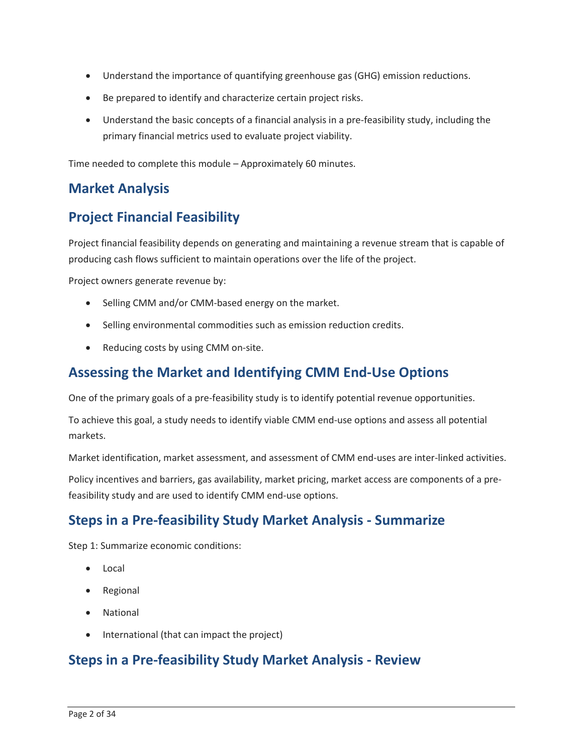- Understand the importance of quantifying greenhouse gas (GHG) emission reductions.
- Be prepared to identify and characterize certain project risks.
- Understand the basic concepts of a financial analysis in a pre-feasibility study, including the primary financial metrics used to evaluate project viability.

Time needed to complete this module – Approximately 60 minutes.

#### **Market Analysis**

#### **Project Financial Feasibility**

 Project financial feasibility depends on generating and maintaining a revenue stream that is capable of producing cash flows sufficient to maintain operations over the life of the project.

Project owners generate revenue by:

- Selling CMM and/or CMM-based energy on the market.
- Selling environmental commodities such as emission reduction credits.
- Reducing costs by using CMM on-site.

### **Assessing the Market and Identifying CMM End-Use Options**

One of the primary goals of a pre-feasibility study is to identify potential revenue opportunities.

To achieve this goal, a study needs to identify viable CMM end-use options and assess all potential markets.

Market identification, market assessment, and assessment of CMM end-uses are inter-linked activities.

Policy incentives and barriers, gas availability, market pricing, market access are components of a prefeasibility study and are used to identify CMM end-use options.

### **Steps in a Pre-feasibility Study Market Analysis - Summarize**

Step 1: Summarize economic conditions:

- Local
- Regional
- National
- International (that can impact the project)

#### **Steps in a Pre-feasibility Study Market Analysis - Review**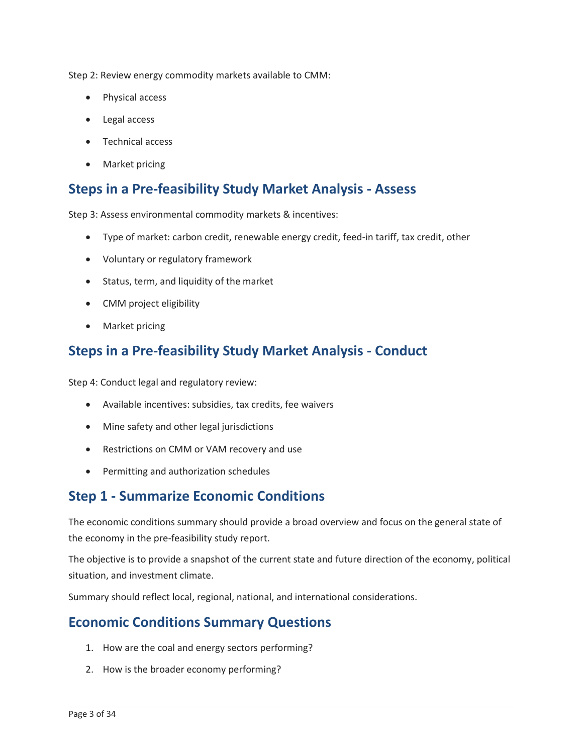Step 2: Review energy commodity markets available to CMM:

- Physical access
- Legal access
- Technical access
- Market pricing

## **Steps in a Pre-feasibility Study Market Analysis - Assess**

Step 3: Assess environmental commodity markets & incentives:

- Type of market: carbon credit, renewable energy credit, feed-in tariff, tax credit, other
- Voluntary or regulatory framework
- Status, term, and liquidity of the market
- CMM project eligibility
- Market pricing

## **Steps in a Pre-feasibility Study Market Analysis - Conduct**

Step 4: Conduct legal and regulatory review:

- Available incentives: subsidies, tax credits, fee waivers
- Mine safety and other legal jurisdictions
- Restrictions on CMM or VAM recovery and use
- Permitting and authorization schedules

#### **Step 1 - Summarize Economic Conditions**

The economic conditions summary should provide a broad overview and focus on the general state of the economy in the pre-feasibility study report.

 The objective is to provide a snapshot of the current state and future direction of the economy, political situation, and investment climate.

Summary should reflect local, regional, national, and international considerations.

#### **Economic Conditions Summary Questions**

- 1. How are the coal and energy sectors performing?
- 2. How is the broader economy performing?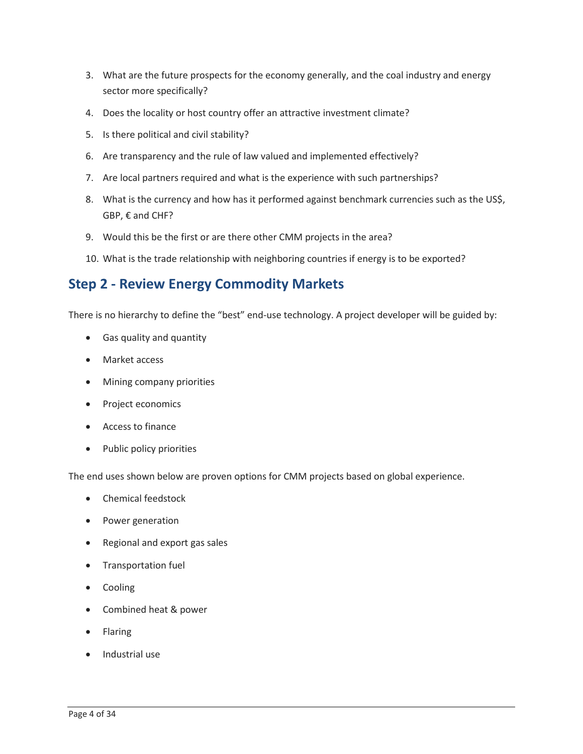- 3. What are the future prospects for the economy generally, and the coal industry and energy sector more specifically?
- 4. Does the locality or host country offer an attractive investment climate?
- 5. Is there political and civil stability?
- 6. Are transparency and the rule of law valued and implemented effectively?
- 7. Are local partners required and what is the experience with such partnerships?
- 8. What is the currency and how has it performed against benchmark currencies such as the US\$, GBP, € and CHF?
- 9. Would this be the first or are there other CMM projects in the area?
- 10. What is the trade relationship with neighboring countries if energy is to be exported?

#### **Step 2 - Review Energy Commodity Markets**

There is no hierarchy to define the "best" end-use technology. A project developer will be guided by:

- Gas quality and quantity
- Market access
- Mining company priorities
- Project economics
- Access to finance
- Public policy priorities

The end uses shown below are proven options for CMM projects based on global experience.

- Chemical feedstock
- Power generation
- Regional and export gas sales
- Transportation fuel
- Cooling
- Combined heat & power
- Flaring
- Industrial use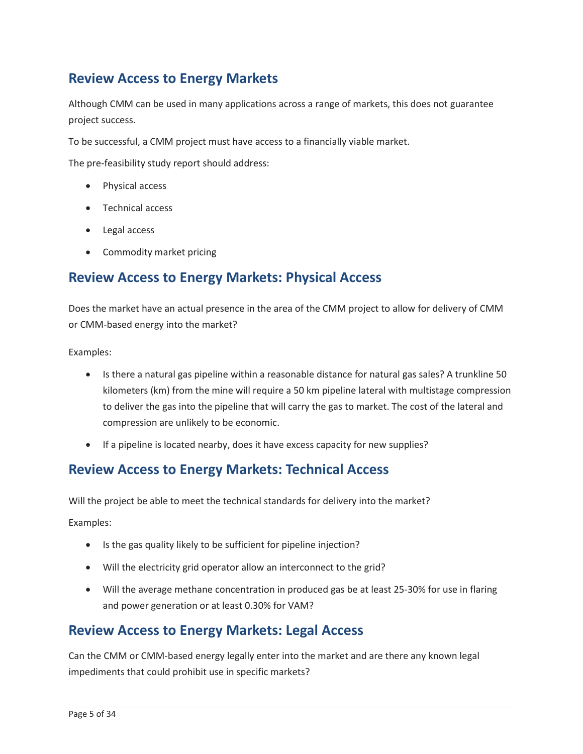## **Review Access to Energy Markets**

Although CMM can be used in many applications across a range of markets, this does not guarantee project success.

To be successful, a CMM project must have access to a financially viable market.

The pre-feasibility study report should address:

- Physical access
- Technical access
- Legal access
- Commodity market pricing

#### **Review Access to Energy Markets: Physical Access**

 or CMM-based energy into the market? Does the market have an actual presence in the area of the CMM project to allow for delivery of CMM

Examples:

- • Is there a natural gas pipeline within a reasonable distance for natural gas sales? A trunkline 50 kilometers (km) from the mine will require a 50 km pipeline lateral with multistage compression to deliver the gas into the pipeline that will carry the gas to market. The cost of the lateral and compression are unlikely to be economic.
- If a pipeline is located nearby, does it have excess capacity for new supplies?

#### **Review Access to Energy Markets: Technical Access**

Will the project be able to meet the technical standards for delivery into the market?

Examples:

- Is the gas quality likely to be sufficient for pipeline injection?
- Will the electricity grid operator allow an interconnect to the grid?
- and power generation or at least 0.30% for VAM? • Will the average methane concentration in produced gas be at least 25-30% for use in flaring

#### **Review Access to Energy Markets: Legal Access**

Can the CMM or CMM-based energy legally enter into the market and are there any known legal impediments that could prohibit use in specific markets?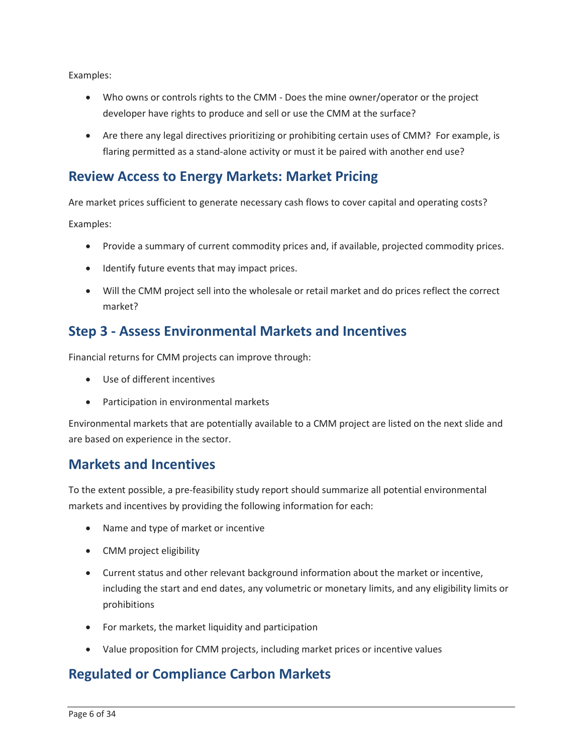Examples:

- • Who owns or controls rights to the CMM Does the mine owner/operator or the project developer have rights to produce and sell or use the CMM at the surface?
- flaring permitted as a stand-alone activity or must it be paired with another end use? • Are there any legal directives prioritizing or prohibiting certain uses of CMM? For example, is

### **Review Access to Energy Markets: Market Pricing**

Are market prices sufficient to generate necessary cash flows to cover capital and operating costs? Examples:

- Provide a summary of current commodity prices and, if available, projected commodity prices.
- Identify future events that may impact prices.
- • Will the CMM project sell into the wholesale or retail market and do prices reflect the correct market?

## **Step 3 - Assess Environmental Markets and Incentives**

Financial returns for CMM projects can improve through:

- Use of different incentives
- Participation in environmental markets

 are based on experience in the sector. Environmental markets that are potentially available to a CMM project are listed on the next slide and

#### **Markets and Incentives**

To the extent possible, a pre-feasibility study report should summarize all potential environmental markets and incentives by providing the following information for each:

- Name and type of market or incentive
- CMM project eligibility
- Current status and other relevant background information about the market or incentive, including the start and end dates, any volumetric or monetary limits, and any eligibility limits or prohibitions
- For markets, the market liquidity and participation
- Value proposition for CMM projects, including market prices or incentive values

#### **Regulated or Compliance Carbon Markets**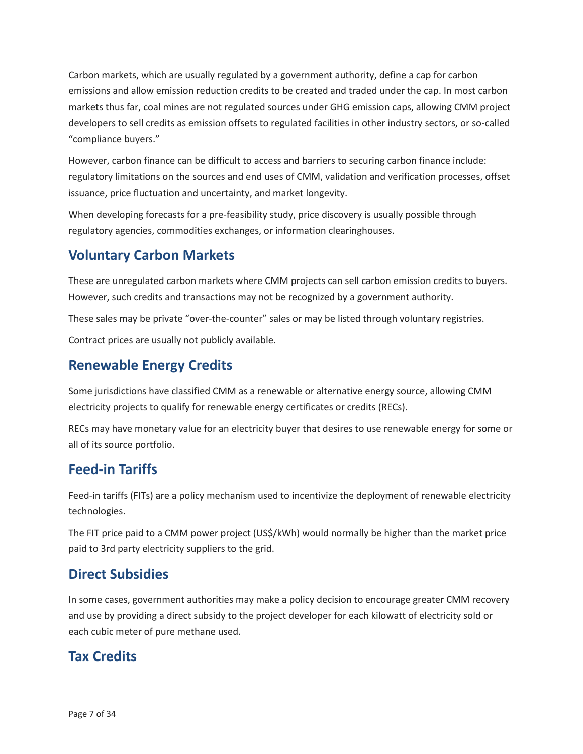Carbon markets, which are usually regulated by a government authority, define a cap for carbon emissions and allow emission reduction credits to be created and traded under the cap. In most carbon markets thus far, coal mines are not regulated sources under GHG emission caps, allowing CMM project developers to sell credits as emission offsets to regulated facilities in other industry sectors, or so-called "compliance buyers."

issuance, price fluctuation and uncertainty, and market longevity. However, carbon finance can be difficult to access and barriers to securing carbon finance include: regulatory limitations on the sources and end uses of CMM, validation and verification processes, offset

issuance, price fluctuation and uncertainty, and market longevity.<br>When developing forecasts for a pre-feasibility study, price discovery is usually possible through regulatory agencies, commodities exchanges, or information clearinghouses.

## **Voluntary Carbon Markets**

 These are unregulated carbon markets where CMM projects can sell carbon emission credits to buyers. However, such credits and transactions may not be recognized by a government authority.

These sales may be private "over-the-counter" sales or may be listed through voluntary registries.

Contract prices are usually not publicly available.

## **Renewable Energy Credits**

Some jurisdictions have classified CMM as a renewable or alternative energy source, allowing CMM electricity projects to qualify for renewable energy certificates or credits (RECs).

 RECs may have monetary value for an electricity buyer that desires to use renewable energy for some or all of its source portfolio.

## **Feed-in Tariffs**

Feed-in tariffs (FITs) are a policy mechanism used to incentivize the deployment of renewable electricity technologies.

The FIT price paid to a CMM power project (US\$/kWh) would normally be higher than the market price paid to 3rd party electricity suppliers to the grid.

#### **Direct Subsidies**

 In some cases, government authorities may make a policy decision to encourage greater CMM recovery and use by providing a direct subsidy to the project developer for each kilowatt of electricity sold or each cubic meter of pure methane used.

## **Tax Credits**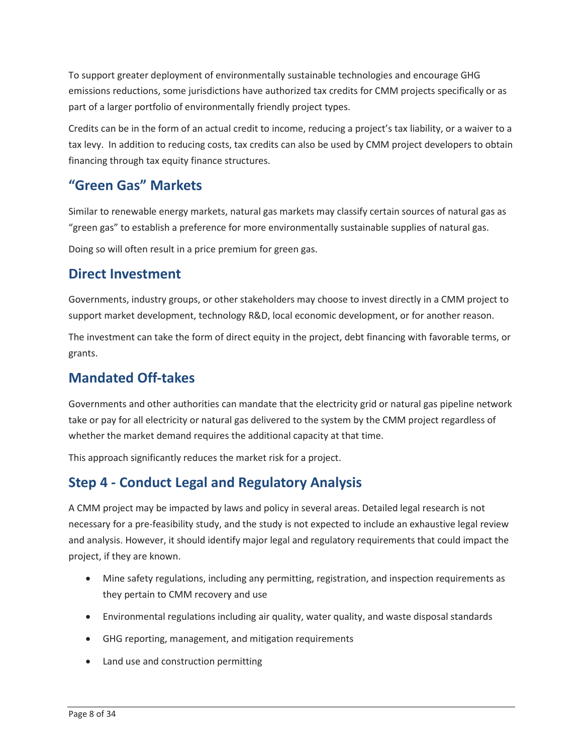To support greater deployment of environmentally sustainable technologies and encourage GHG emissions reductions, some jurisdictions have authorized tax credits for CMM projects specifically or as part of a larger portfolio of environmentally friendly project types.

 Credits can be in the form of an actual credit to income, reducing a project's tax liability, or a waiver to a tax levy. In addition to reducing costs, tax credits can also be used by CMM project developers to obtain financing through tax equity finance structures.

## **"Green Gas" Markets**

 Similar to renewable energy markets, natural gas markets may classify certain sources of natural gas as "green gas" to establish a preference for more environmentally sustainable supplies of natural gas.<br>Doing so will often result in a price premium for green gas.

#### **Direct Investment**

Governments, industry groups, or other stakeholders may choose to invest directly in a CMM project to support market development, technology R&D, local economic development, or for another reason.

The investment can take the form of direct equity in the project, debt financing with favorable terms, or grants.

### **Mandated Off-takes**

Governments and other authorities can mandate that the electricity grid or natural gas pipeline network take or pay for all electricity or natural gas delivered to the system by the CMM project regardless of whether the market demand requires the additional capacity at that time.

This approach significantly reduces the market risk for a project.

## **Step 4 - Conduct Legal and Regulatory Analysis**

 and analysis. However, it should identify major legal and regulatory requirements that could impact the project, if they are known. A CMM project may be impacted by laws and policy in several areas. Detailed legal research is not necessary for a pre-feasibility study, and the study is not expected to include an exhaustive legal review

- Mine safety regulations, including any permitting, registration, and inspection requirements as they pertain to CMM recovery and use
- Environmental regulations including air quality, water quality, and waste disposal standards
- GHG reporting, management, and mitigation requirements
- Land use and construction permitting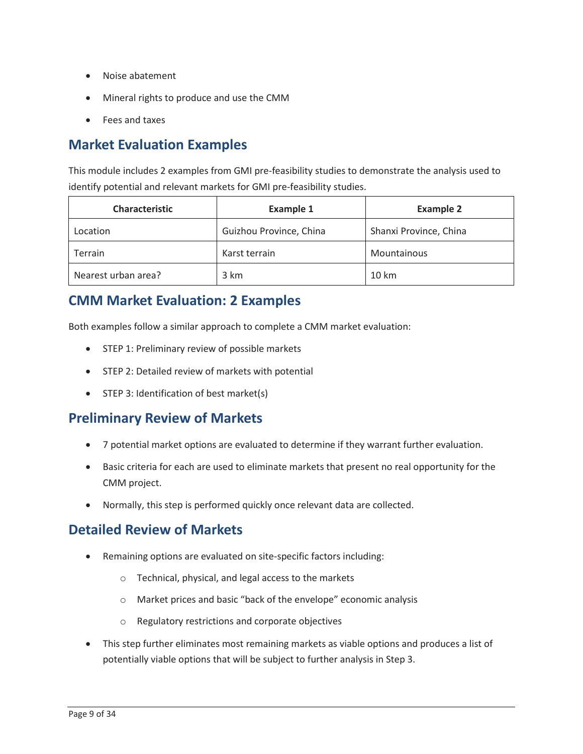- Noise abatement
- Mineral rights to produce and use the CMM
- Fees and taxes

### **Market Evaluation Examples**

This module includes 2 examples from GMI pre-feasibility studies to demonstrate the analysis used to identify potential and relevant markets for GMI pre-feasibility studies.

| <b>Characteristic</b> | <b>Example 1</b>        | <b>Example 2</b>       |
|-----------------------|-------------------------|------------------------|
| Location              | Guizhou Province, China | Shanxi Province, China |
| <b>Terrain</b>        | Karst terrain           | Mountainous            |
| Nearest urban area?   | 3 km                    | $10 \mathrm{km}$       |

#### **CMM Market Evaluation: 2 Examples**

Both examples follow a similar approach to complete a CMM market evaluation:

- STEP 1: Preliminary review of possible markets
- STEP 2: Detailed review of markets with potential
- STEP 3: Identification of best market(s)

#### **Preliminary Review of Markets**

- 7 potential market options are evaluated to determine if they warrant further evaluation.
- Basic criteria for each are used to eliminate markets that present no real opportunity for the CMM project.
- Normally, this step is performed quickly once relevant data are collected.

#### **Detailed Review of Markets**

- Remaining options are evaluated on site-specific factors including:
	- o Technical, physical, and legal access to the markets
	- o Market prices and basic "back of the envelope" economic analysis
	- o Regulatory restrictions and corporate objectives
- potentially viable options that will be subject to further analysis in Step 3. • This step further eliminates most remaining markets as viable options and produces a list of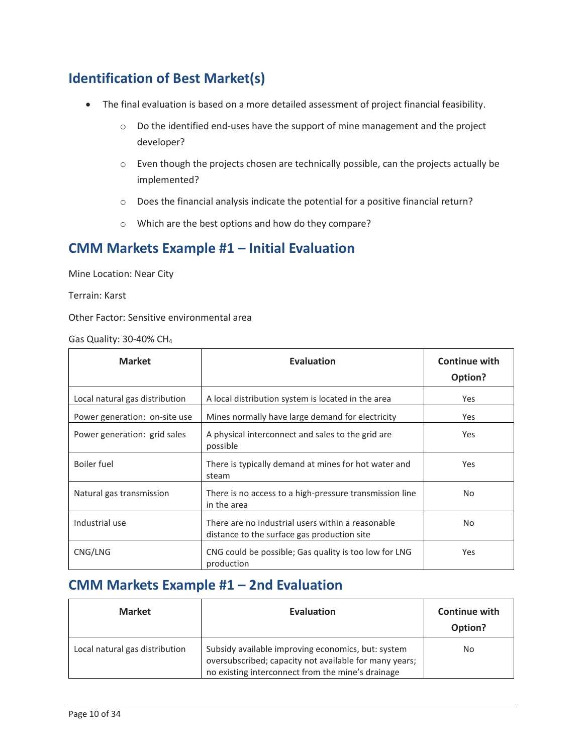## **Identification of Best Market(s)**

- The final evaluation is based on a more detailed assessment of project financial feasibility.
	- $\circ$  Do the identified end-uses have the support of mine management and the project developer?
	- o Even though the projects chosen are technically possible, can the projects actually be implemented?
	- o Does the financial analysis indicate the potential for a positive financial return?
	- o Which are the best options and how do they compare?

#### **CMM Markets Example #1 – Initial Evaluation**

Mine Location: Near City

Terrain: Karst

Other Factor: Sensitive environmental area

Gas Quality: 30-40% CH4

| <b>Market</b>                  | <b>Evaluation</b>                                                                                | <b>Continue with</b><br>Option? |
|--------------------------------|--------------------------------------------------------------------------------------------------|---------------------------------|
| Local natural gas distribution | A local distribution system is located in the area                                               | Yes                             |
| Power generation: on-site use  | Mines normally have large demand for electricity                                                 | Yes                             |
| Power generation: grid sales   | A physical interconnect and sales to the grid are<br>possible                                    | <b>Yes</b>                      |
| <b>Boiler</b> fuel             | There is typically demand at mines for hot water and<br>steam                                    | Yes                             |
| Natural gas transmission       | There is no access to a high-pressure transmission line<br>in the area                           | No.                             |
| Industrial use                 | There are no industrial users within a reasonable<br>distance to the surface gas production site | No.                             |
| CNG/LNG                        | CNG could be possible; Gas quality is too low for LNG<br>production                              | Yes                             |

#### **CMM Markets Example #1 – 2nd Evaluation**

| <b>Market</b>                  | <b>Evaluation</b>                                                                                                                                                 | <b>Continue with</b><br>Option? |
|--------------------------------|-------------------------------------------------------------------------------------------------------------------------------------------------------------------|---------------------------------|
| Local natural gas distribution | Subsidy available improving economics, but: system<br>oversubscribed; capacity not available for many years;<br>no existing interconnect from the mine's drainage | No.                             |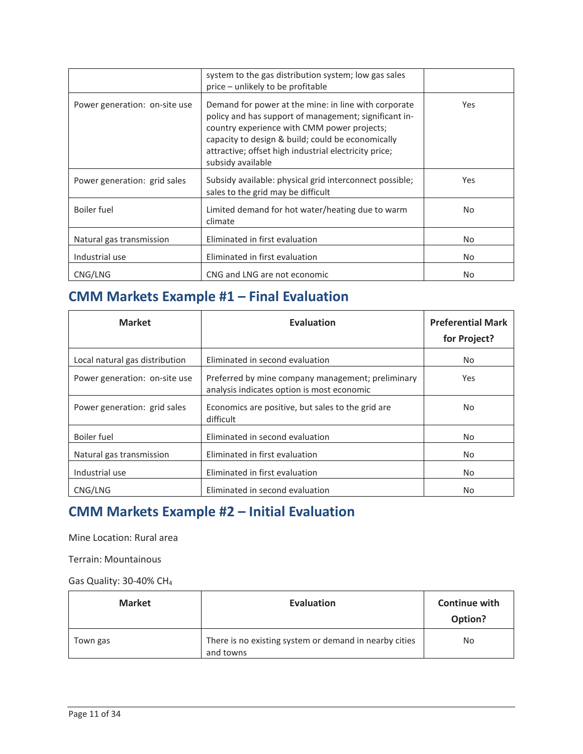|                               | system to the gas distribution system; low gas sales<br>price - unlikely to be profitable                                                                                                                                                                                                       |            |
|-------------------------------|-------------------------------------------------------------------------------------------------------------------------------------------------------------------------------------------------------------------------------------------------------------------------------------------------|------------|
| Power generation: on-site use | Demand for power at the mine: in line with corporate<br>policy and has support of management; significant in-<br>country experience with CMM power projects;<br>capacity to design & build; could be economically<br>attractive; offset high industrial electricity price;<br>subsidy available | Yes        |
| Power generation: grid sales  | Subsidy available: physical grid interconnect possible;<br>sales to the grid may be difficult                                                                                                                                                                                                   | <b>Yes</b> |
| Boiler fuel                   | Limited demand for hot water/heating due to warm<br>climate                                                                                                                                                                                                                                     | No.        |
| Natural gas transmission      | Eliminated in first evaluation                                                                                                                                                                                                                                                                  | No.        |
| Industrial use                | Eliminated in first evaluation                                                                                                                                                                                                                                                                  | No.        |
| CNG/LNG                       | CNG and LNG are not economic                                                                                                                                                                                                                                                                    | No.        |

## **CMM Markets Example #1 – Final Evaluation**

| <b>Market</b>                  | Evaluation                                                                                      | <b>Preferential Mark</b><br>for Project? |
|--------------------------------|-------------------------------------------------------------------------------------------------|------------------------------------------|
| Local natural gas distribution | Eliminated in second evaluation                                                                 | No.                                      |
| Power generation: on-site use  | Preferred by mine company management; preliminary<br>analysis indicates option is most economic | Yes                                      |
| Power generation: grid sales   | Economics are positive, but sales to the grid are<br>difficult                                  | No.                                      |
| <b>Boiler</b> fuel             | Eliminated in second evaluation                                                                 | No.                                      |
| Natural gas transmission       | Eliminated in first evaluation                                                                  | No.                                      |
| Industrial use                 | Eliminated in first evaluation                                                                  | No.                                      |
| CNG/LNG                        | Eliminated in second evaluation                                                                 | No.                                      |

## **CMM Markets Example #2 – Initial Evaluation**

Mine Location: Rural area

Terrain: Mountainous

Gas Quality: 30-40% CH4

| <b>Market</b> | <b>Evaluation</b>                                                   | <b>Continue with</b><br>Option? |
|---------------|---------------------------------------------------------------------|---------------------------------|
| Town gas      | There is no existing system or demand in nearby cities<br>and towns | No                              |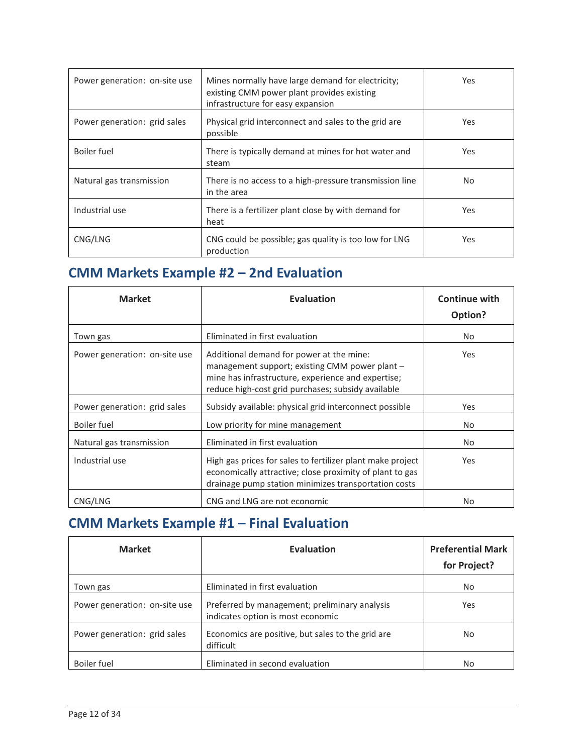| Power generation: on-site use | Mines normally have large demand for electricity;<br>existing CMM power plant provides existing<br>infrastructure for easy expansion | <b>Yes</b> |
|-------------------------------|--------------------------------------------------------------------------------------------------------------------------------------|------------|
| Power generation: grid sales  | Physical grid interconnect and sales to the grid are<br>possible                                                                     | Yes        |
| Boiler fuel                   | There is typically demand at mines for hot water and<br>steam                                                                        | Yes.       |
| Natural gas transmission      | There is no access to a high-pressure transmission line<br>in the area                                                               | No.        |
| Industrial use                | There is a fertilizer plant close by with demand for<br>heat                                                                         | <b>Yes</b> |
| CNG/LNG                       | CNG could be possible; gas quality is too low for LNG<br>production                                                                  | Yes.       |

## **CMM Markets Example #2 – 2nd Evaluation**

| <b>Market</b>                 | <b>Evaluation</b>                                                                                                                                                                                      | <b>Continue with</b><br>Option? |
|-------------------------------|--------------------------------------------------------------------------------------------------------------------------------------------------------------------------------------------------------|---------------------------------|
| Town gas                      | Eliminated in first evaluation                                                                                                                                                                         | No.                             |
| Power generation: on-site use | Additional demand for power at the mine:<br>management support; existing CMM power plant –<br>mine has infrastructure, experience and expertise;<br>reduce high-cost grid purchases; subsidy available | <b>Yes</b>                      |
| Power generation: grid sales  | Subsidy available: physical grid interconnect possible                                                                                                                                                 | Yes                             |
| Boiler fuel                   | Low priority for mine management                                                                                                                                                                       | No.                             |
| Natural gas transmission      | Eliminated in first evaluation                                                                                                                                                                         | No.                             |
| Industrial use                | High gas prices for sales to fertilizer plant make project<br>economically attractive; close proximity of plant to gas<br>drainage pump station minimizes transportation costs                         | <b>Yes</b>                      |
| CNG/LNG                       | CNG and LNG are not economic                                                                                                                                                                           | No.                             |

## **CMM Markets Example #1 – Final Evaluation**

| <b>Market</b>                 | <b>Evaluation</b>                                                                  | <b>Preferential Mark</b><br>for Project? |
|-------------------------------|------------------------------------------------------------------------------------|------------------------------------------|
| Town gas                      | Eliminated in first evaluation                                                     | No.                                      |
| Power generation: on-site use | Preferred by management; preliminary analysis<br>indicates option is most economic | Yes                                      |
| Power generation: grid sales  | Economics are positive, but sales to the grid are<br>difficult                     | No.                                      |
| Boiler fuel                   | Eliminated in second evaluation                                                    | No                                       |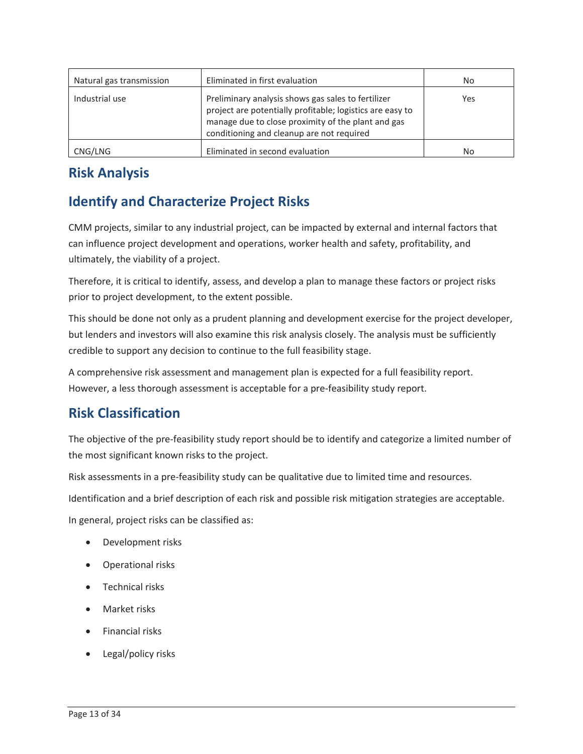| Natural gas transmission | Eliminated in first evaluation                                                                                                                                                                                     | No  |
|--------------------------|--------------------------------------------------------------------------------------------------------------------------------------------------------------------------------------------------------------------|-----|
| Industrial use           | Preliminary analysis shows gas sales to fertilizer<br>project are potentially profitable; logistics are easy to<br>manage due to close proximity of the plant and gas<br>conditioning and cleanup are not required | Yes |
| CNG/LNG                  | Eliminated in second evaluation                                                                                                                                                                                    | No  |

## **Risk Analysis**

## **Identify and Characterize Project Risks**

 can influence project development and operations, worker health and safety, profitability, and ultimately, the viability of a project. CMM projects, similar to any industrial project, can be impacted by external and internal factors that

prior to project development, to the extent possible. Therefore, it is critical to identify, assess, and develop a plan to manage these factors or project risks

This should be done not only as a prudent planning and development exercise for the project developer, but lenders and investors will also examine this risk analysis closely. The analysis must be sufficiently credible to support any decision to continue to the full feasibility stage.

A comprehensive risk assessment and management plan is expected for a full feasibility report. However, a less thorough assessment is acceptable for a pre-feasibility study report.

## **Risk Classification**

 the most significant known risks to the project. The objective of the pre-feasibility study report should be to identify and categorize a limited number of

Risk assessments in a pre-feasibility study can be qualitative due to limited time and resources.

Identification and a brief description of each risk and possible risk mitigation strategies are acceptable.

In general, project risks can be classified as:

- Development risks
- Operational risks
- Technical risks
- Market risks
- Financial risks
- Legal/policy risks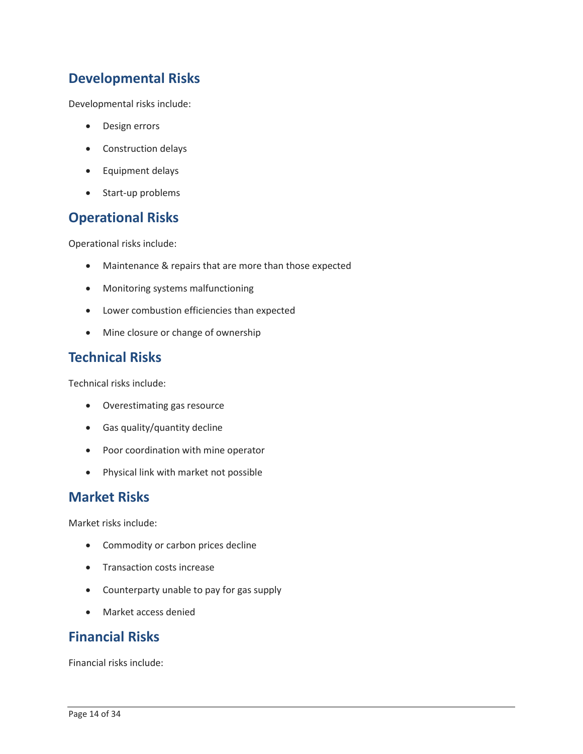## **Developmental Risks**

Developmental risks include:

- Design errors
- Construction delays
- Equipment delays
- Start-up problems

#### **Operational Risks**

Operational risks include:

- Maintenance & repairs that are more than those expected
- Monitoring systems malfunctioning
- Lower combustion efficiencies than expected
- Mine closure or change of ownership

#### **Technical Risks**

Technical risks include:

- Overestimating gas resource
- Gas quality/quantity decline
- Poor coordination with mine operator
- Physical link with market not possible

#### **Market Risks**

Market risks include:

- Commodity or carbon prices decline
- Transaction costs increase
- Counterparty unable to pay for gas supply
- Market access denied

#### **Financial Risks**

Financial risks include: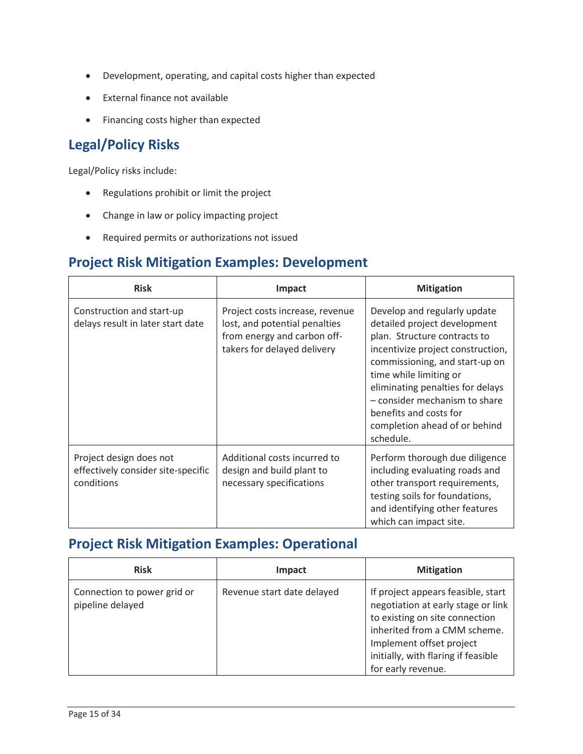- Development, operating, and capital costs higher than expected
- External finance not available
- Financing costs higher than expected

## **Legal/Policy Risks**

Legal/Policy risks include:

- Regulations prohibit or limit the project
- Change in law or policy impacting project
- Required permits or authorizations not issued

#### **Project Risk Mitigation Examples: Development**

| <b>Risk</b>                                                                 | <b>Impact</b>                                                                                                                  | <b>Mitigation</b>                                                                                                                                                                                                                                                                                                                          |
|-----------------------------------------------------------------------------|--------------------------------------------------------------------------------------------------------------------------------|--------------------------------------------------------------------------------------------------------------------------------------------------------------------------------------------------------------------------------------------------------------------------------------------------------------------------------------------|
| Construction and start-up<br>delays result in later start date              | Project costs increase, revenue<br>lost, and potential penalties<br>from energy and carbon off-<br>takers for delayed delivery | Develop and regularly update<br>detailed project development<br>plan. Structure contracts to<br>incentivize project construction,<br>commissioning, and start-up on<br>time while limiting or<br>eliminating penalties for delays<br>- consider mechanism to share<br>benefits and costs for<br>completion ahead of or behind<br>schedule. |
| Project design does not<br>effectively consider site-specific<br>conditions | Additional costs incurred to<br>design and build plant to<br>necessary specifications                                          | Perform thorough due diligence<br>including evaluating roads and<br>other transport requirements,<br>testing soils for foundations,<br>and identifying other features<br>which can impact site.                                                                                                                                            |

#### **Project Risk Mitigation Examples: Operational**

| <b>Risk</b>                                     | Impact                     | <b>Mitigation</b>                                                                                                                                                                                                                   |
|-------------------------------------------------|----------------------------|-------------------------------------------------------------------------------------------------------------------------------------------------------------------------------------------------------------------------------------|
| Connection to power grid or<br>pipeline delayed | Revenue start date delayed | If project appears feasible, start<br>negotiation at early stage or link<br>to existing on site connection<br>inherited from a CMM scheme.<br>Implement offset project<br>initially, with flaring if feasible<br>for early revenue. |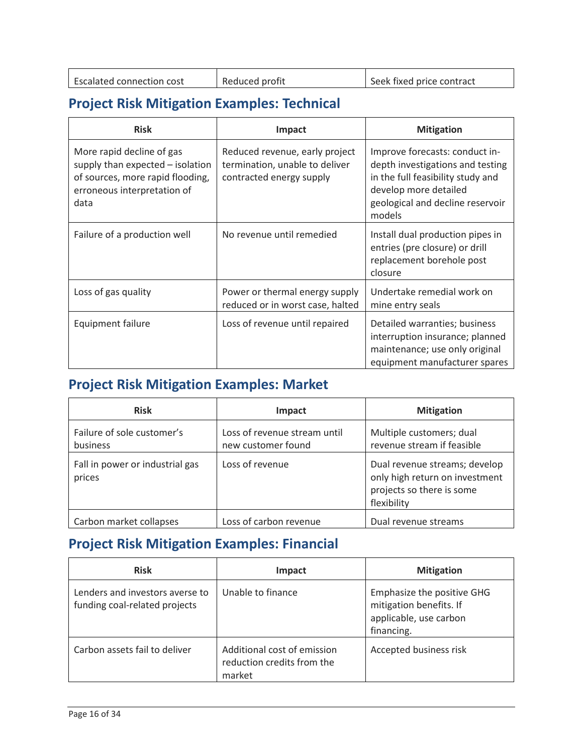| <b>Escalated connection cost</b> | Reduced profit | Seek fixed price contract |
|----------------------------------|----------------|---------------------------|
|                                  |                |                           |

## **Project Risk Mitigation Examples: Technical**

| <b>Risk</b>                                                                                                                              | <b>Impact</b>                                                                                | <b>Mitigation</b>                                                                                                                                                              |
|------------------------------------------------------------------------------------------------------------------------------------------|----------------------------------------------------------------------------------------------|--------------------------------------------------------------------------------------------------------------------------------------------------------------------------------|
| More rapid decline of gas<br>supply than expected - isolation<br>of sources, more rapid flooding,<br>erroneous interpretation of<br>data | Reduced revenue, early project<br>termination, unable to deliver<br>contracted energy supply | Improve forecasts: conduct in-<br>depth investigations and testing<br>in the full feasibility study and<br>develop more detailed<br>geological and decline reservoir<br>models |
| Failure of a production well                                                                                                             | No revenue until remedied                                                                    | Install dual production pipes in<br>entries (pre closure) or drill<br>replacement borehole post<br>closure                                                                     |
| Loss of gas quality                                                                                                                      | Power or thermal energy supply<br>reduced or in worst case, halted                           | Undertake remedial work on<br>mine entry seals                                                                                                                                 |
| Equipment failure                                                                                                                        | Loss of revenue until repaired                                                               | Detailed warranties; business<br>interruption insurance; planned<br>maintenance; use only original<br>equipment manufacturer spares                                            |

## **Project Risk Mitigation Examples: Market**

| <b>Risk</b>                               | Impact                                             | <b>Mitigation</b>                                                                                           |
|-------------------------------------------|----------------------------------------------------|-------------------------------------------------------------------------------------------------------------|
| Failure of sole customer's<br>business    | Loss of revenue stream until<br>new customer found | Multiple customers; dual<br>revenue stream if feasible                                                      |
| Fall in power or industrial gas<br>prices | Loss of revenue                                    | Dual revenue streams; develop<br>only high return on investment<br>projects so there is some<br>flexibility |
| Carbon market collapses                   | Loss of carbon revenue                             | Dual revenue streams                                                                                        |

## **Project Risk Mitigation Examples: Financial**

| <b>Risk</b>                                                      | <b>Impact</b>                                                       | <b>Mitigation</b>                                                                             |
|------------------------------------------------------------------|---------------------------------------------------------------------|-----------------------------------------------------------------------------------------------|
| Lenders and investors averse to<br>funding coal-related projects | Unable to finance                                                   | Emphasize the positive GHG<br>mitigation benefits. If<br>applicable, use carbon<br>financing. |
| Carbon assets fail to deliver                                    | Additional cost of emission<br>reduction credits from the<br>market | Accepted business risk                                                                        |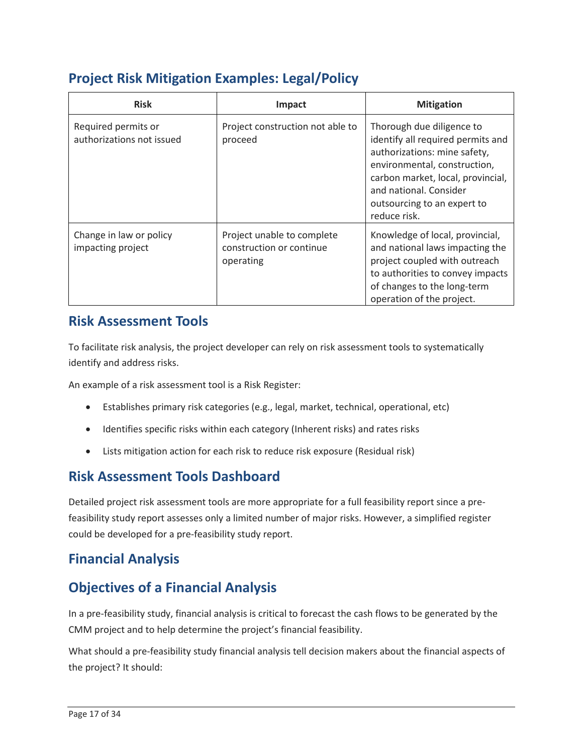## **Project Risk Mitigation Examples: Legal/Policy**

| <b>Risk</b>                                      | Impact                                                              | <b>Mitigation</b>                                                                                                                                                                                                                            |
|--------------------------------------------------|---------------------------------------------------------------------|----------------------------------------------------------------------------------------------------------------------------------------------------------------------------------------------------------------------------------------------|
| Required permits or<br>authorizations not issued | Project construction not able to<br>proceed                         | Thorough due diligence to<br>identify all required permits and<br>authorizations: mine safety,<br>environmental, construction,<br>carbon market, local, provincial,<br>and national. Consider<br>outsourcing to an expert to<br>reduce risk. |
| Change in law or policy<br>impacting project     | Project unable to complete<br>construction or continue<br>operating | Knowledge of local, provincial,<br>and national laws impacting the<br>project coupled with outreach<br>to authorities to convey impacts<br>of changes to the long-term<br>operation of the project.                                          |

### **Risk Assessment Tools**

To facilitate risk analysis, the project developer can rely on risk assessment tools to systematically identify and address risks.

An example of a risk assessment tool is a Risk Register:

- Establishes primary risk categories (e.g., legal, market, technical, operational, etc)
- Identifies specific risks within each category (Inherent risks) and rates risks
- Lists mitigation action for each risk to reduce risk exposure (Residual risk)

### **Risk Assessment Tools Dashboard**

 Detailed project risk assessment tools are more appropriate for a full feasibility report since a prefeasibility study report assesses only a limited number of major risks. However, a simplified register could be developed for a pre-feasibility study report.

## **Financial Analysis**

#### **Objectives of a Financial Analysis**

 In a pre-feasibility study, financial analysis is critical to forecast the cash flows to be generated by the CMM project and to help determine the project's financial feasibility.

 What should a pre-feasibility study financial analysis tell decision makers about the financial aspects of the project? It should: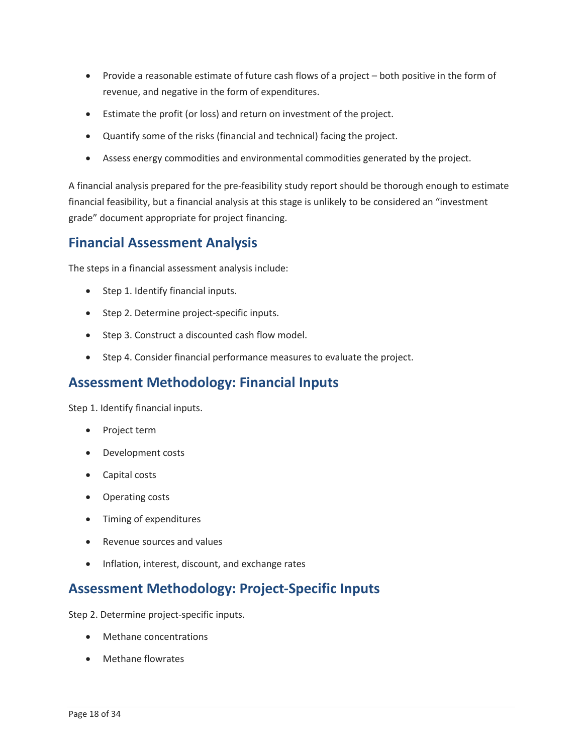- • Provide a reasonable estimate of future cash flows of a project both positive in the form of revenue, and negative in the form of expenditures.
- Estimate the profit (or loss) and return on investment of the project.
- Quantify some of the risks (financial and technical) facing the project.
- Assess energy commodities and environmental commodities generated by the project.

A financial analysis prepared for the pre-feasibility study report should be thorough enough to estimate financial feasibility, but a financial analysis at this stage is unlikely to be considered an "investment grade" document appropriate for project financing.

#### **Financial Assessment Analysis**

The steps in a financial assessment analysis include:

- Step 1. Identify financial inputs.
- Step 2. Determine project-specific inputs.
- Step 3. Construct a discounted cash flow model.
- Step 4. Consider financial performance measures to evaluate the project.

#### **Assessment Methodology: Financial Inputs**

Step 1. Identify financial inputs.

- Project term
- Development costs
- Capital costs
- Operating costs
- Timing of expenditures
- Revenue sources and values
- Inflation, interest, discount, and exchange rates

#### **Assessment Methodology: Project-Specific Inputs**

Step 2. Determine project-specific inputs.

- Methane concentrations
- Methane flowrates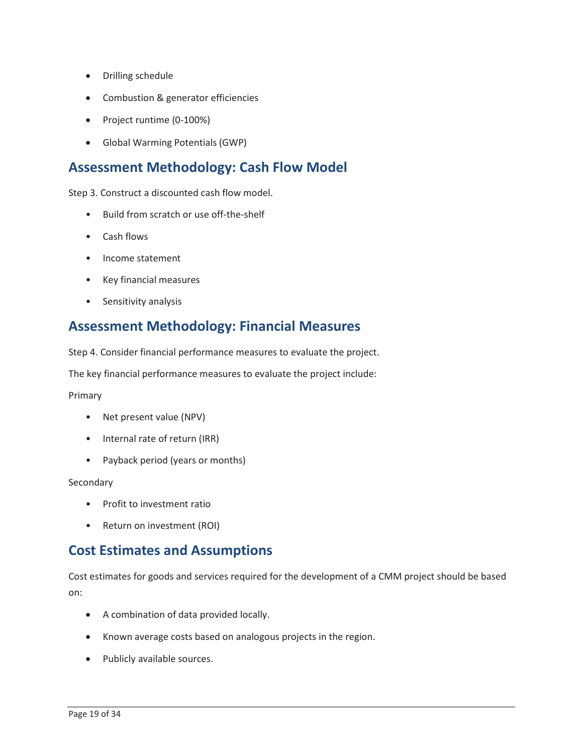- Drilling schedule
- Combustion & generator efficiencies
- Project runtime (0-100%)
- Global Warming Potentials (GWP)

## **Assessment Methodology: Cash Flow Model**

Step 3. Construct a discounted cash flow model.

- Build from scratch or use off-the-shelf
- Cash flows
- Income statement
- Key financial measures
- Sensitivity analysis

## **Assessment Methodology: Financial Measures**

Step 4. Consider financial performance measures to evaluate the project.

The key financial performance measures to evaluate the project include:

Primary

- Net present value (NPV)
- Internal rate of return (IRR)
- Payback period (years or months)

Secondary

- Profit to investment ratio
- Return on investment (ROI)

#### **Cost Estimates and Assumptions**

Cost estimates for goods and services required for the development of a CMM project should be based on:

- A combination of data provided locally.
- Known average costs based on analogous projects in the region.
- Publicly available sources.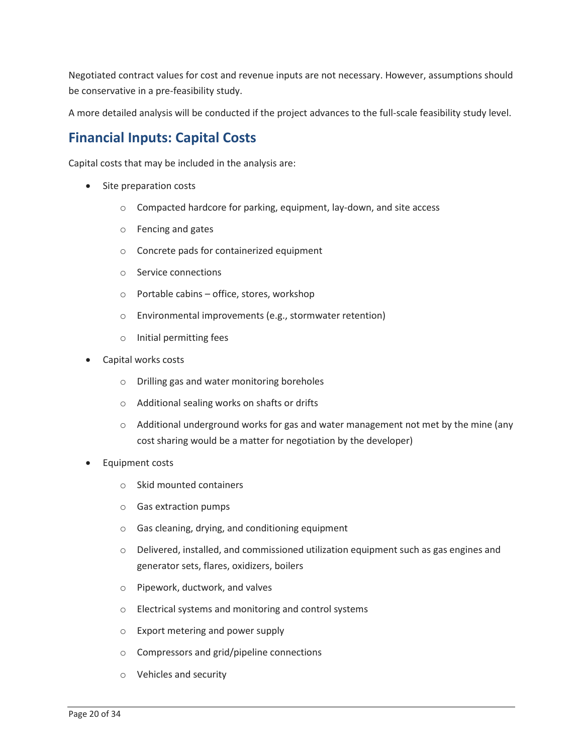Negotiated contract values for cost and revenue inputs are not necessary. However, assumptions should be conservative in a pre-feasibility study.

A more detailed analysis will be conducted if the project advances to the full-scale feasibility study level.

## **Financial Inputs: Capital Costs**

Capital costs that may be included in the analysis are:

- Site preparation costs
	- o Compacted hardcore for parking, equipment, lay-down, and site access
	- o Fencing and gates
	- o Concrete pads for containerized equipment
	- o Service connections
	- o Portable cabins office, stores, workshop
	- o Environmental improvements (e.g., stormwater retention)
	- o Initial permitting fees
- Capital works costs
	- o Drilling gas and water monitoring boreholes
	- o Additional sealing works on shafts or drifts
	- $\circ$  Additional underground works for gas and water management not met by the mine (any cost sharing would be a matter for negotiation by the developer)
- Equipment costs
	- o Skid mounted containers
	- o Gas extraction pumps
	- o Gas cleaning, drying, and conditioning equipment
	- $\circ$  Delivered, installed, and commissioned utilization equipment such as gas engines and generator sets, flares, oxidizers, boilers
	- o Pipework, ductwork, and valves
	- o Electrical systems and monitoring and control systems
	- o Export metering and power supply
	- o Compressors and grid/pipeline connections
	- o Vehicles and security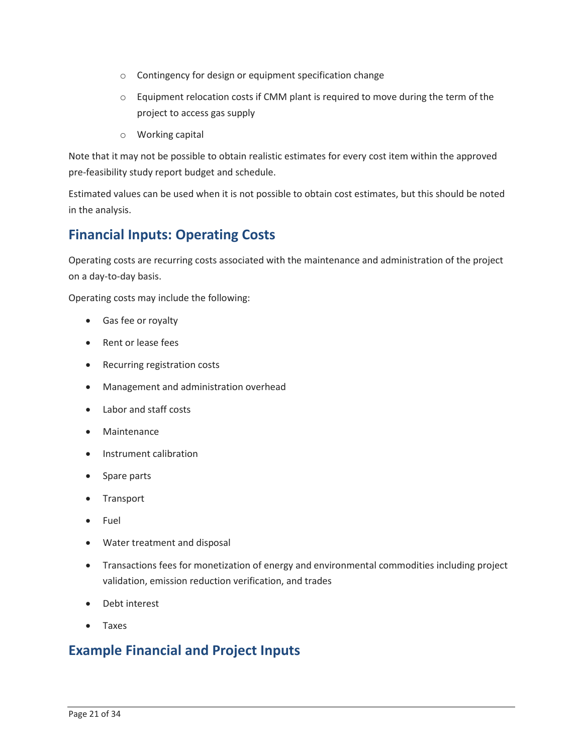- o Contingency for design or equipment specification change
- $\circ$  Equipment relocation costs if CMM plant is required to move during the term of the project to access gas supply
- o Working capital

 Note that it may not be possible to obtain realistic estimates for every cost item within the approved pre-feasibility study report budget and schedule.

Estimated values can be used when it is not possible to obtain cost estimates, but this should be noted in the analysis.

## **Financial Inputs: Operating Costs**

Operating costs are recurring costs associated with the maintenance and administration of the project on a day-to-day basis.

Operating costs may include the following:

- Gas fee or royalty
- Rent or lease fees
- Recurring registration costs
- Management and administration overhead
- Labor and staff costs
- Maintenance
- Instrument calibration
- Spare parts
- Transport
- Fuel
- Water treatment and disposal
- Transactions fees for monetization of energy and environmental commodities including project validation, emission reduction verification, and trades
- Debt interest
- Taxes

### **Example Financial and Project Inputs**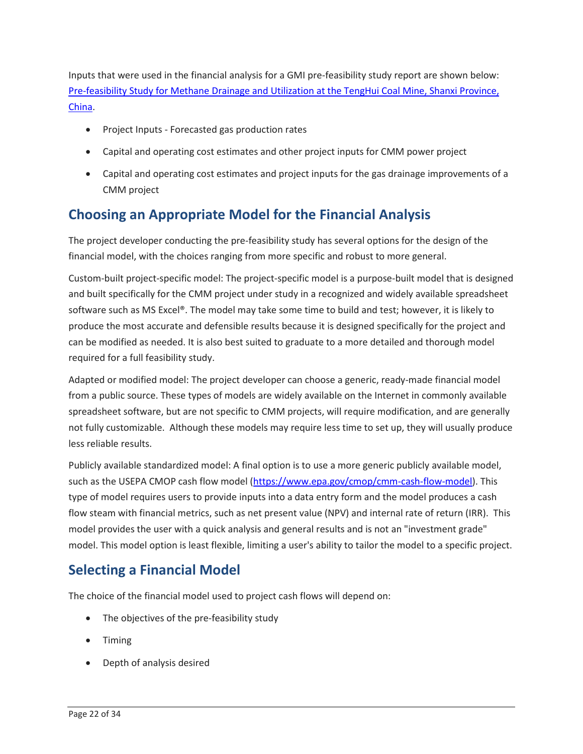[Pre-feasibility Study for Methane Drainage and Utilization at the TengHui Coal Mine, Shanxi Province,](https://www.epa.gov/sites/production/files/2019-05/documents/epa_gmi_tenghui_05-2-19.pdf)  Inputs that were used in the financial analysis for a GMI pre-feasibility study report are shown below: [China.](https://www.epa.gov/sites/production/files/2019-05/documents/epa_gmi_tenghui_05-2-19.pdf)

- Project Inputs Forecasted gas production rates
- Capital and operating cost estimates and other project inputs for CMM power project
- • Capital and operating cost estimates and project inputs for the gas drainage improvements of a CMM project

## **Choosing an Appropriate Model for the Financial Analysis**

 The project developer conducting the pre-feasibility study has several options for the design of the financial model, with the choices ranging from more specific and robust to more general.

 software such as MS Excel®. The model may take some time to build and test; however, it is likely to can be modified as needed. It is also best suited to graduate to a more detailed and thorough model Custom-built project-specific model: The project-specific model is a purpose-built model that is designed and built specifically for the CMM project under study in a recognized and widely available spreadsheet produce the most accurate and defensible results because it is designed specifically for the project and required for a full feasibility study.

 Adapted or modified model: The project developer can choose a generic, ready-made financial model from a public source. These types of models are widely available on the Internet in commonly available spreadsheet software, but are not specific to CMM projects, will require modification, and are generally not fully customizable. Although these models may require less time to set up, they will usually produce less reliable results.

 type of model requires users to provide inputs into a data entry form and the model produces a cash flow steam with financial metrics, such as net present value (NPV) and internal rate of return (IRR). This model. This model option is least flexible, limiting a user's ability to tailor the model to a specific project. Publicly available standardized model: A final option is to use a more generic publicly available model, such as the USEPA CMOP cash flow model [\(https://www.epa.gov/cmop/cmm-cash-flow-model\)](https://www.epa.gov/cmop/cmm-cash-flow-model). This model provides the user with a quick analysis and general results and is not an "investment grade"

## **Selecting a Financial Model**

The choice of the financial model used to project cash flows will depend on:

- The objectives of the pre-feasibility study
- Timing
- Depth of analysis desired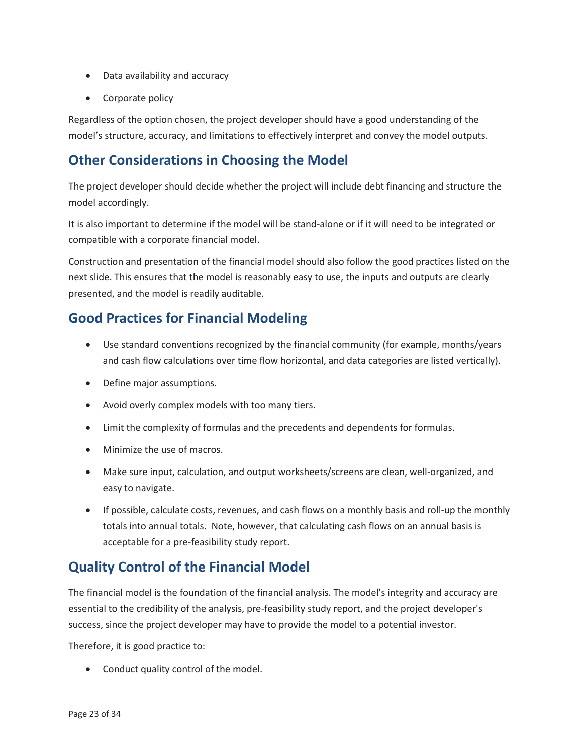- Data availability and accuracy
- Corporate policy

 Regardless of the option chosen, the project developer should have a good understanding of the model's structure, accuracy, and limitations to effectively interpret and convey the model outputs.

### **Other Considerations in Choosing the Model**

 The project developer should decide whether the project will include debt financing and structure the model accordingly.

 compatible with a corporate financial model. It is also important to determine if the model will be stand-alone or if it will need to be integrated or

 Construction and presentation of the financial model should also follow the good practices listed on the next slide. This ensures that the model is reasonably easy to use, the inputs and outputs are clearly presented, and the model is readily auditable.

### **Good Practices for Financial Modeling**

- • Use standard conventions recognized by the financial community (for example, months/years and cash flow calculations over time flow horizontal, and data categories are listed vertically).
- Define major assumptions.
- Avoid overly complex models with too many tiers.
- Limit the complexity of formulas and the precedents and dependents for formulas.
- Minimize the use of macros.
- Make sure input, calculation, and output worksheets/screens are clean, well-organized, and easy to navigate.
- • If possible, calculate costs, revenues, and cash flows on a monthly basis and roll-up the monthly totals into annual totals. Note, however, that calculating cash flows on an annual basis is acceptable for a pre-feasibility study report.

## **Quality Control of the Financial Model**

 essential to the credibility of the analysis, pre-feasibility study report, and the project developer's The financial model is the foundation of the financial analysis. The model's integrity and accuracy are success, since the project developer may have to provide the model to a potential investor.

Therefore, it is good practice to:

• Conduct quality control of the model.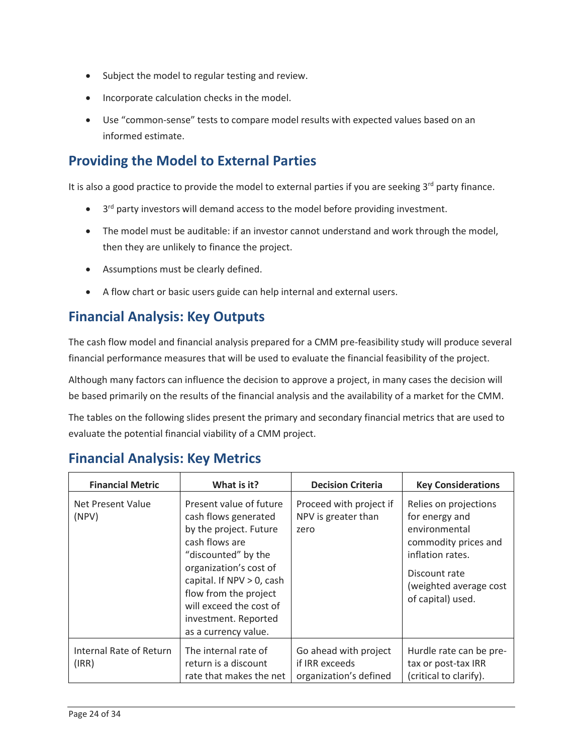- Subject the model to regular testing and review.
- Incorporate calculation checks in the model.
- • Use "common-sense" tests to compare model results with expected values based on an informed estimate.

## **Providing the Model to External Parties**

It is also a good practice to provide the model to external parties if you are seeking 3<sup>rd</sup> party finance.

- $\bullet$  3<sup>rd</sup> party investors will demand access to the model before providing investment.
- • The model must be auditable: if an investor cannot understand and work through the model, then they are unlikely to finance the project.
- Assumptions must be clearly defined.
- A flow chart or basic users guide can help internal and external users.

## **Financial Analysis: Key Outputs**

 financial performance measures that will be used to evaluate the financial feasibility of the project. The cash flow model and financial analysis prepared for a CMM pre-feasibility study will produce several

 Although many factors can influence the decision to approve a project, in many cases the decision will be based primarily on the results of the financial analysis and the availability of a market for the CMM.

 evaluate the potential financial viability of a CMM project. The tables on the following slides present the primary and secondary financial metrics that are used to

### **Financial Analysis: Key Metrics**

| <b>Financial Metric</b>          | What is it?                                                                                                                                                                                                                                                                      | <b>Decision Criteria</b>                                          | <b>Key Considerations</b>                                                                                                                                            |
|----------------------------------|----------------------------------------------------------------------------------------------------------------------------------------------------------------------------------------------------------------------------------------------------------------------------------|-------------------------------------------------------------------|----------------------------------------------------------------------------------------------------------------------------------------------------------------------|
| Net Present Value<br>(NPV)       | Present value of future<br>cash flows generated<br>by the project. Future<br>cash flows are<br>"discounted" by the<br>organization's cost of<br>capital. If $NPV > 0$ , cash<br>flow from the project<br>will exceed the cost of<br>investment. Reported<br>as a currency value. | Proceed with project if<br>NPV is greater than<br>zero            | Relies on projections<br>for energy and<br>environmental<br>commodity prices and<br>inflation rates.<br>Discount rate<br>(weighted average cost<br>of capital) used. |
| Internal Rate of Return<br>(IRR) | The internal rate of<br>return is a discount<br>rate that makes the net                                                                                                                                                                                                          | Go ahead with project<br>if IRR exceeds<br>organization's defined | Hurdle rate can be pre-<br>tax or post-tax IRR<br>(critical to clarify).                                                                                             |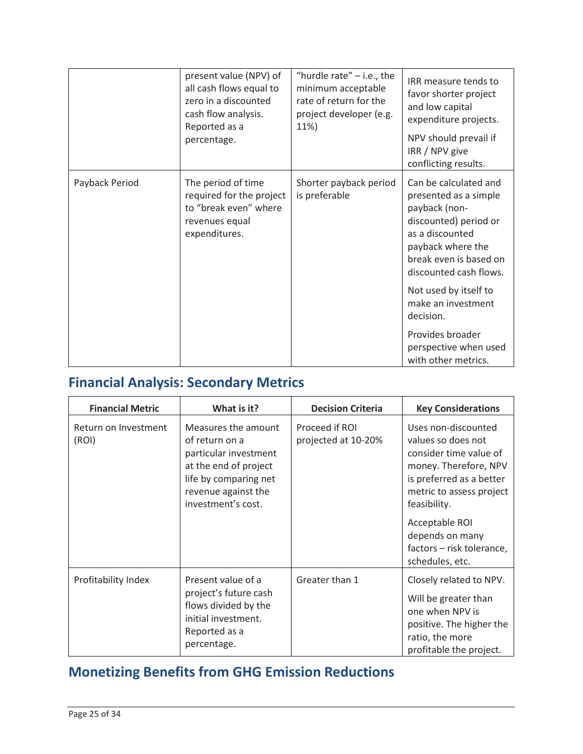|                | present value (NPV) of<br>all cash flows equal to<br>zero in a discounted<br>cash flow analysis.<br>Reported as a<br>percentage. | "hurdle rate" $-$ i.e., the<br>minimum acceptable<br>rate of return for the<br>project developer (e.g.<br>11%) | IRR measure tends to<br>favor shorter project<br>and low capital<br>expenditure projects.<br>NPV should prevail if<br>IRR / NPV give<br>conflicting results.                                                                        |
|----------------|----------------------------------------------------------------------------------------------------------------------------------|----------------------------------------------------------------------------------------------------------------|-------------------------------------------------------------------------------------------------------------------------------------------------------------------------------------------------------------------------------------|
| Payback Period | The period of time<br>required for the project<br>to "break even" where<br>revenues equal<br>expenditures.                       | Shorter payback period<br>is preferable                                                                        | Can be calculated and<br>presented as a simple<br>payback (non-<br>discounted) period or<br>as a discounted<br>payback where the<br>break even is based on<br>discounted cash flows.<br>Not used by itself to<br>make an investment |
|                |                                                                                                                                  |                                                                                                                | decision.<br>Provides broader                                                                                                                                                                                                       |
|                |                                                                                                                                  |                                                                                                                | perspective when used<br>with other metrics.                                                                                                                                                                                        |

## **Financial Analysis: Secondary Metrics**

| <b>Financial Metric</b>       | What is it?                                                                                                                                                   | <b>Decision Criteria</b>              | <b>Key Considerations</b>                                                                                                                                                                                                                                 |
|-------------------------------|---------------------------------------------------------------------------------------------------------------------------------------------------------------|---------------------------------------|-----------------------------------------------------------------------------------------------------------------------------------------------------------------------------------------------------------------------------------------------------------|
| Return on Investment<br>(ROI) | Measures the amount<br>of return on a<br>particular investment<br>at the end of project<br>life by comparing net<br>revenue against the<br>investment's cost. | Proceed if ROI<br>projected at 10-20% | Uses non-discounted<br>values so does not<br>consider time value of<br>money. Therefore, NPV<br>is preferred as a better<br>metric to assess project<br>feasibility.<br>Acceptable ROI<br>depends on many<br>factors - risk tolerance,<br>schedules, etc. |
| Profitability Index           | Present value of a<br>project's future cash<br>flows divided by the<br>initial investment.<br>Reported as a<br>percentage.                                    | Greater than 1                        | Closely related to NPV.<br>Will be greater than<br>one when NPV is<br>positive. The higher the<br>ratio, the more<br>profitable the project.                                                                                                              |

## **Monetizing Benefits from GHG Emission Reductions**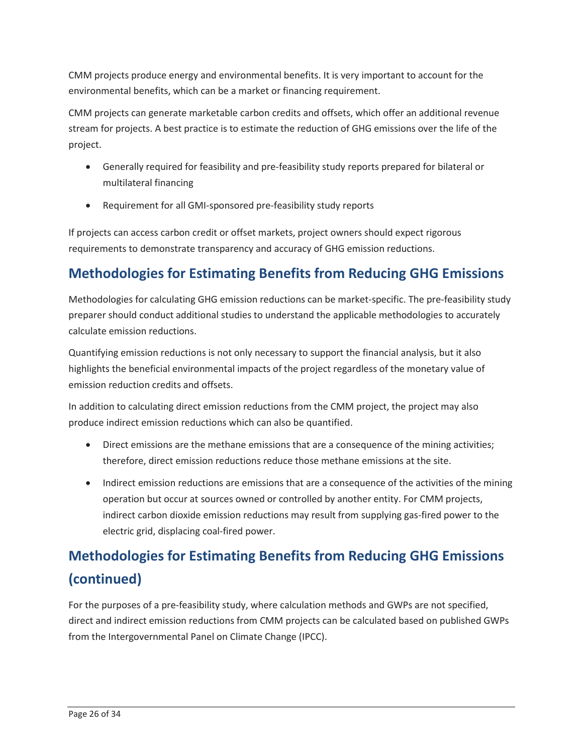CMM projects produce energy and environmental benefits. It is very important to account for the environmental benefits, which can be a market or financing requirement.

CMM projects can generate marketable carbon credits and offsets, which offer an additional revenue stream for projects. A best practice is to estimate the reduction of GHG emissions over the life of the project.

- Generally required for feasibility and pre-feasibility study reports prepared for bilateral or multilateral financing
- Requirement for all GMI-sponsored pre-feasibility study reports

 If projects can access carbon credit or offset markets, project owners should expect rigorous requirements to demonstrate transparency and accuracy of GHG emission reductions.

## **Methodologies for Estimating Benefits from Reducing GHG Emissions**

Methodologies for calculating GHG emission reductions can be market-specific. The pre-feasibility study preparer should conduct additional studies to understand the applicable methodologies to accurately calculate emission reductions.

 highlights the beneficial environmental impacts of the project regardless of the monetary value of emission reduction credits and offsets. Quantifying emission reductions is not only necessary to support the financial analysis, but it also

 In addition to calculating direct emission reductions from the CMM project, the project may also produce indirect emission reductions which can also be quantified.

- Direct emissions are the methane emissions that are a consequence of the mining activities; therefore, direct emission reductions reduce those methane emissions at the site.
- • Indirect emission reductions are emissions that are a consequence of the activities of the mining operation but occur at sources owned or controlled by another entity. For CMM projects, indirect carbon dioxide emission reductions may result from supplying gas-fired power to the electric grid, displacing coal-fired power.

# **Methodologies for Estimating Benefits from Reducing GHG Emissions (continued)**

 For the purposes of a pre-feasibility study, where calculation methods and GWPs are not specified, direct and indirect emission reductions from CMM projects can be calculated based on published GWPs from the Intergovernmental Panel on Climate Change (IPCC).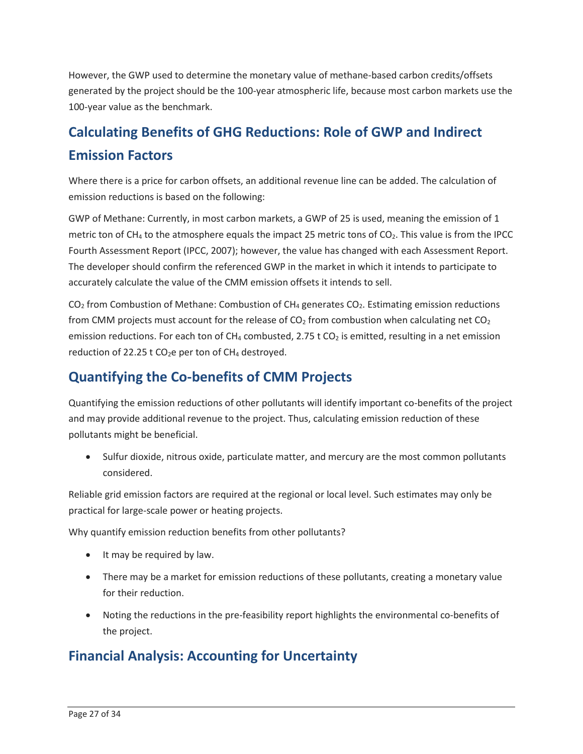generated by the project should be the 100-year atmospheric life, because most carbon markets use the However, the GWP used to determine the monetary value of methane-based carbon credits/offsets 100-year value as the benchmark.

# **Calculating Benefits of GHG Reductions: Role of GWP and Indirect Emission Factors**

Where there is a price for carbon offsets, an additional revenue line can be added. The calculation of emission reductions is based on the following:

 GWP of Methane: Currently, in most carbon markets, a GWP of 25 is used, meaning the emission of 1 metric ton of CH<sub>4</sub> to the atmosphere equals the impact 25 metric tons of CO<sub>2</sub>. This value is from the IPCC The developer should confirm the referenced GWP in the market in which it intends to participate to Fourth Assessment Report (IPCC, 2007); however, the value has changed with each Assessment Report. accurately calculate the value of the CMM emission offsets it intends to sell.

emission reductions. For each ton of CH<sub>4</sub> combusted, 2.75 t CO<sub>2</sub> is emitted, resulting in a net emission reduction of 22.25  $t$  CO<sub>2</sub>e per ton of CH<sub>4</sub> destroyed.  $CO<sub>2</sub>$  from Combustion of Methane: Combustion of CH<sub>4</sub> generates  $CO<sub>2</sub>$ . Estimating emission reductions from CMM projects must account for the release of  $CO<sub>2</sub>$  from combustion when calculating net  $CO<sub>2</sub>$ 

## **Quantifying the Co-benefits of CMM Projects**

Quantifying the emission reductions of other pollutants will identify important co-benefits of the project and may provide additional revenue to the project. Thus, calculating emission reduction of these pollutants might be beneficial.

 • Sulfur dioxide, nitrous oxide, particulate matter, and mercury are the most common pollutants considered.

 Reliable grid emission factors are required at the regional or local level. Such estimates may only be practical for large-scale power or heating projects.

Why quantify emission reduction benefits from other pollutants?

- It may be required by law.
- • There may be a market for emission reductions of these pollutants, creating a monetary value for their reduction.
- Noting the reductions in the pre-feasibility report highlights the environmental co-benefits of the project.

## **Financial Analysis: Accounting for Uncertainty**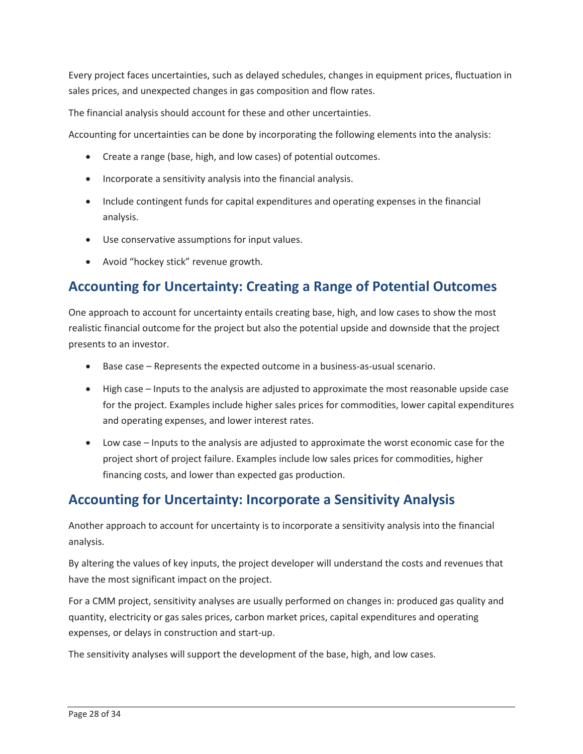Every project faces uncertainties, such as delayed schedules, changes in equipment prices, fluctuation in sales prices, and unexpected changes in gas composition and flow rates.

The financial analysis should account for these and other uncertainties.

Accounting for uncertainties can be done by incorporating the following elements into the analysis:

- Create a range (base, high, and low cases) of potential outcomes.
- Incorporate a sensitivity analysis into the financial analysis.
- Include contingent funds for capital expenditures and operating expenses in the financial analysis.
- Use conservative assumptions for input values.
- Avoid "hockey stick" revenue growth.

## **Accounting for Uncertainty: Creating a Range of Potential Outcomes**

 One approach to account for uncertainty entails creating base, high, and low cases to show the most realistic financial outcome for the project but also the potential upside and downside that the project presents to an investor.

- Base case Represents the expected outcome in a business-as-usual scenario.
- High case Inputs to the analysis are adjusted to approximate the most reasonable upside case for the project. Examples include higher sales prices for commodities, lower capital expenditures and operating expenses, and lower interest rates.
- Low case Inputs to the analysis are adjusted to approximate the worst economic case for the project short of project failure. Examples include low sales prices for commodities, higher financing costs, and lower than expected gas production.

#### **Accounting for Uncertainty: Incorporate a Sensitivity Analysis**

Another approach to account for uncertainty is to incorporate a sensitivity analysis into the financial analysis.

By altering the values of key inputs, the project developer will understand the costs and revenues that have the most significant impact on the project.

For a CMM project, sensitivity analyses are usually performed on changes in: produced gas quality and quantity, electricity or gas sales prices, carbon market prices, capital expenditures and operating expenses, or delays in construction and start-up.

The sensitivity analyses will support the development of the base, high, and low cases.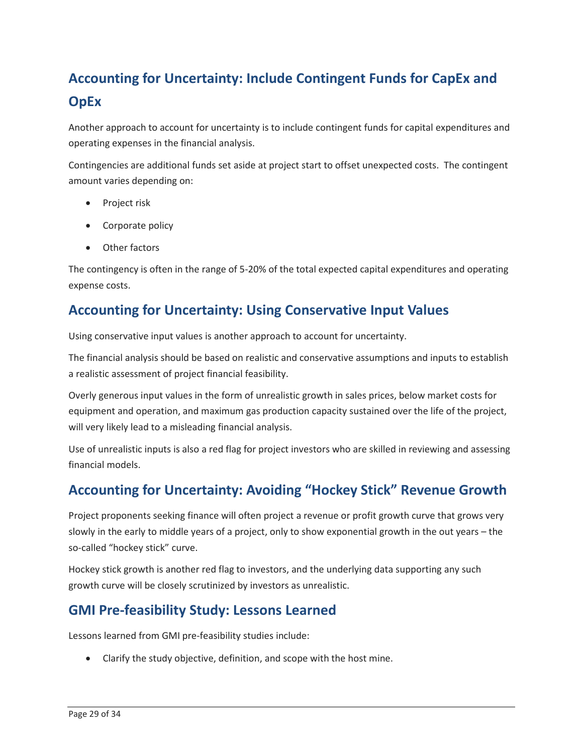# **Accounting for Uncertainty: Include Contingent Funds for CapEx and OpEx**

Another approach to account for uncertainty is to include contingent funds for capital expenditures and operating expenses in the financial analysis.

Contingencies are additional funds set aside at project start to offset unexpected costs. The contingent amount varies depending on:

- Project risk
- Corporate policy
- Other factors

 The contingency is often in the range of 5-20% of the total expected capital expenditures and operating expense costs.

## **Accounting for Uncertainty: Using Conservative Input Values**

Using conservative input values is another approach to account for uncertainty.

 The financial analysis should be based on realistic and conservative assumptions and inputs to establish a realistic assessment of project financial feasibility.

 equipment and operation, and maximum gas production capacity sustained over the life of the project, Overly generous input values in the form of unrealistic growth in sales prices, below market costs for will very likely lead to a misleading financial analysis.

Use of unrealistic inputs is also a red flag for project investors who are skilled in reviewing and assessing financial models.

## **Accounting for Uncertainty: Avoiding "Hockey Stick" Revenue Growth**

 Project proponents seeking finance will often project a revenue or profit growth curve that grows very slowly in the early to middle years of a project, only to show exponential growth in the out years – the so-called "hockey stick" curve.

 Hockey stick growth is another red flag to investors, and the underlying data supporting any such growth curve will be closely scrutinized by investors as unrealistic.

## **GMI Pre-feasibility Study: Lessons Learned**

Lessons learned from GMI pre-feasibility studies include:

• Clarify the study objective, definition, and scope with the host mine.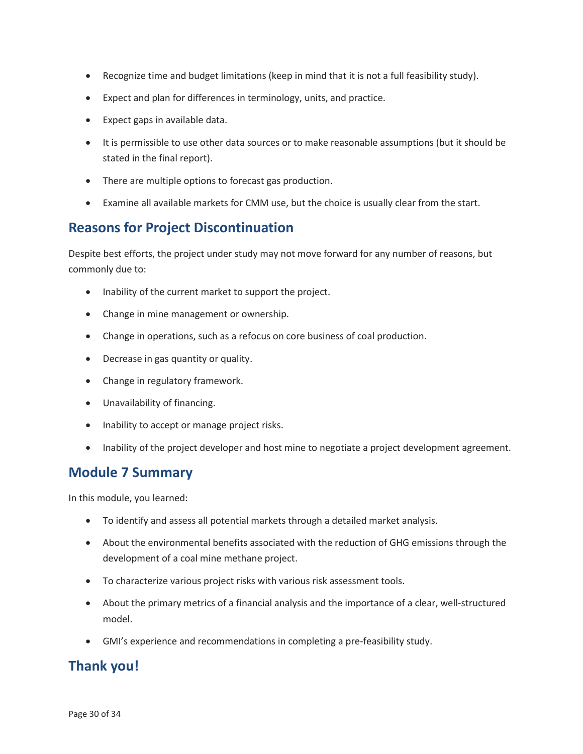- Recognize time and budget limitations (keep in mind that it is not a full feasibility study).
- Expect and plan for differences in terminology, units, and practice.
- Expect gaps in available data.
- It is permissible to use other data sources or to make reasonable assumptions (but it should be stated in the final report).
- There are multiple options to forecast gas production.
- Examine all available markets for CMM use, but the choice is usually clear from the start.

#### **Reasons for Project Discontinuation**

 Despite best efforts, the project under study may not move forward for any number of reasons, but commonly due to:

- Inability of the current market to support the project.
- Change in mine management or ownership.
- Change in operations, such as a refocus on core business of coal production.
- Decrease in gas quantity or quality.
- Change in regulatory framework.
- Unavailability of financing.
- Inability to accept or manage project risks.
- Inability of the project developer and host mine to negotiate a project development agreement.

#### **Module 7 Summary**

In this module, you learned:

- To identify and assess all potential markets through a detailed market analysis.
- • About the environmental benefits associated with the reduction of GHG emissions through the development of a coal mine methane project.
- To characterize various project risks with various risk assessment tools.
- • About the primary metrics of a financial analysis and the importance of a clear, well-structured model.
- GMI's experience and recommendations in completing a pre-feasibility study.

#### **Thank you!**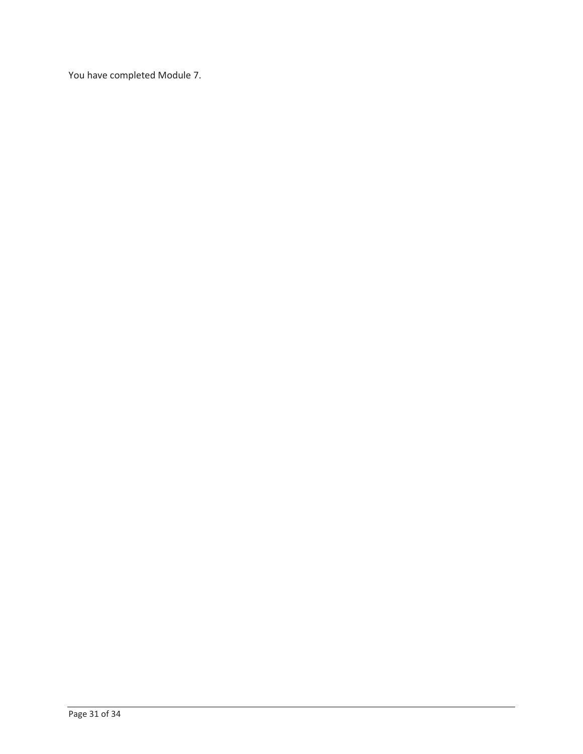You have completed Module 7.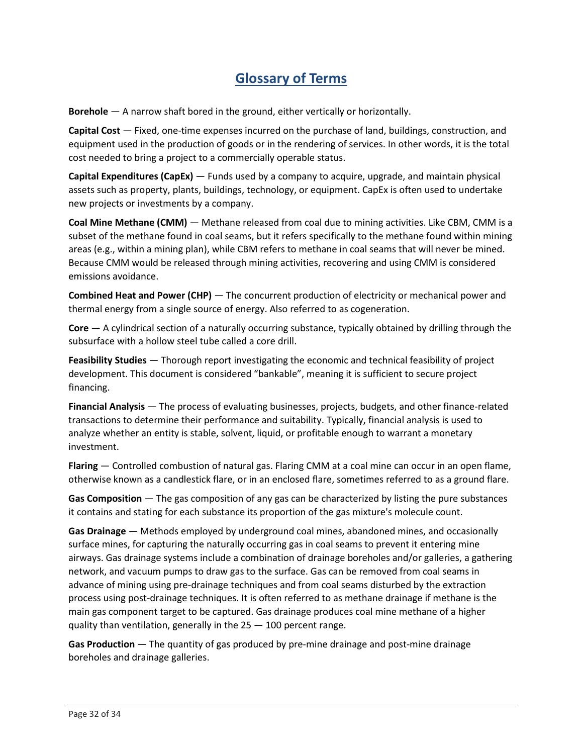## **Glossary of Terms**

**Borehole** — A narrow shaft bored in the ground, either vertically or horizontally.

 **Capital Cost** — Fixed, one-time expenses incurred on the purchase of land, buildings, construction, and equipment used in the production of goods or in the rendering of services. In other words, it is the total cost needed to bring a project to a commercially operable status.

 **Capital Expenditures (CapEx)** — Funds used by a company to acquire, upgrade, and maintain physical assets such as property, plants, buildings, technology, or equipment. CapEx is often used to undertake new projects or investments by a company.

 **Coal Mine Methane (CMM)** — Methane released from coal due to mining activities. Like CBM, CMM is a subset of the methane found in coal seams, but it refers specifically to the methane found within mining areas (e.g., within a mining plan), while CBM refers to methane in coal seams that will never be mined. Because CMM would be released through mining activities, recovering and using CMM is considered emissions avoidance.

 **Combined Heat and Power (CHP)** — The concurrent production of electricity or mechanical power and thermal energy from a single source of energy. Also referred to as cogeneration.

 **Core** — A cylindrical section of a naturally occurring substance, typically obtained by drilling through the subsurface with a hollow steel tube called a core drill.

 **Feasibility Studies** — Thorough report investigating the economic and technical feasibility of project development. This document is considered "bankable", meaning it is sufficient to secure project financing.

 **Financial Analysis** — The process of evaluating businesses, projects, budgets, and other finance-related analyze whether an entity is stable, solvent, liquid, or profitable enough to warrant a monetary transactions to determine their performance and suitability. Typically, financial analysis is used to investment.

 **Flaring** — Controlled combustion of natural gas. Flaring CMM at a coal mine can occur in an open flame, otherwise known as a candlestick flare, or in an enclosed flare, sometimes referred to as a ground flare.

 **Gas Composition** — The gas composition of any gas can be characterized by listing the pure substances it contains and stating for each substance its proportion of the gas mixture's molecule count.

 **Gas Drainage** — Methods employed by underground coal mines, abandoned mines, and occasionally advance of mining using pre-drainage techniques and from coal seams disturbed by the extraction surface mines, for capturing the naturally occurring gas in coal seams to prevent it entering mine airways. Gas drainage systems include a combination of drainage boreholes and/or galleries, a gathering network, and vacuum pumps to draw gas to the surface. Gas can be removed from coal seams in process using post-drainage techniques. It is often referred to as methane drainage if methane is the main gas component target to be captured. Gas drainage produces coal mine methane of a higher quality than ventilation, generally in the 25 — 100 percent range.

 **Gas Production** — The quantity of gas produced by pre-mine drainage and post-mine drainage boreholes and drainage galleries.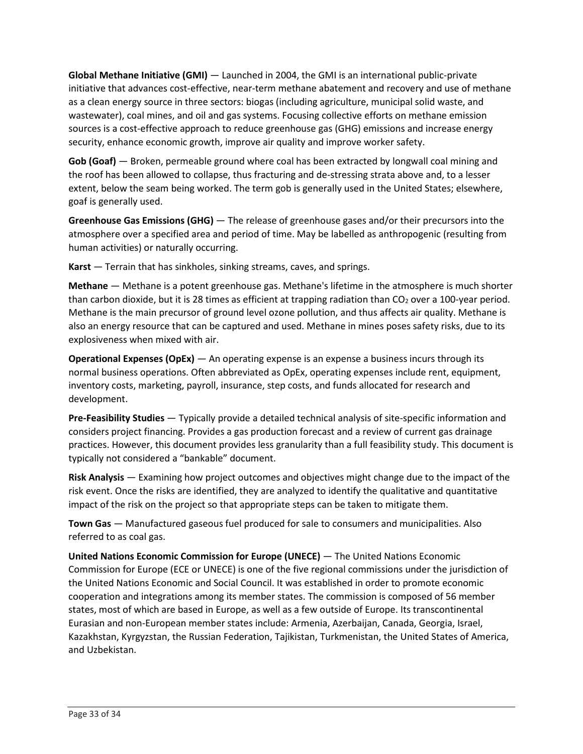**Global Methane Initiative (GMI)** — Launched in 2004, the GMI is an international public-private initiative that advances cost-effective, near-term methane abatement and recovery and use of methane sources is a cost-effective approach to reduce greenhouse gas (GHG) emissions and increase energy as a clean energy source in three sectors: biogas (including agriculture, municipal solid waste, and wastewater), coal mines, and oil and gas systems. Focusing collective efforts on methane emission security, enhance economic growth, improve air quality and improve worker safety.

 **Gob (Goaf)** — Broken, permeable ground where coal has been extracted by longwall coal mining and the roof has been allowed to collapse, thus fracturing and de-stressing strata above and, to a lesser extent, below the seam being worked. The term gob is generally used in the United States; elsewhere, goaf is generally used.

 **Greenhouse Gas Emissions (GHG)** — The release of greenhouse gases and/or their precursors into the atmosphere over a specified area and period of time. May be labelled as anthropogenic (resulting from human activities) or naturally occurring.

**Karst** — Terrain that has sinkholes, sinking streams, caves, and springs.

 **Methane** — Methane is a potent greenhouse gas. Methane's lifetime in the atmosphere is much shorter Methane is the main precursor of ground level ozone pollution, and thus affects air quality. Methane is also an energy resource that can be captured and used. Methane in mines poses safety risks, due to its than carbon dioxide, but it is 28 times as efficient at trapping radiation than  $CO<sub>2</sub>$  over a 100-year period. explosiveness when mixed with air.

 **Operational Expenses (OpEx)** — An operating expense is an expense a business incurs through its normal business operations. Often abbreviated as OpEx, operating expenses include rent, equipment, inventory costs, marketing, payroll, insurance, step costs, and funds allocated for research and development.

 **Pre-Feasibility Studies** — Typically provide a detailed technical analysis of site-specific information and considers project financing. Provides a gas production forecast and a review of current gas drainage practices. However, this document provides less granularity than a full feasibility study. This document is typically not considered a "bankable" document.

 **Risk Analysis** — Examining how project outcomes and objectives might change due to the impact of the impact of the risk on the project so that appropriate steps can be taken to mitigate them. risk event. Once the risks are identified, they are analyzed to identify the qualitative and quantitative

 **Town Gas** — Manufactured gaseous fuel produced for sale to consumers and municipalities. Also referred to as coal gas.

 **United Nations Economic Commission for Europe (UNECE)** — The United Nations Economic Commission for Europe (ECE or UNECE) is one of the five regional commissions under the jurisdiction of states, most of which are based in Europe, as well as a few outside of Europe. Its transcontinental Kazakhstan, Kyrgyzstan, the Russian Federation, Tajikistan, Turkmenistan, the United States of America, the United Nations Economic and Social Council. It was established in order to promote economic cooperation and integrations among its member states. The commission is composed of 56 member Eurasian and non-European member states include: Armenia, Azerbaijan, Canada, Georgia, Israel, and Uzbekistan.